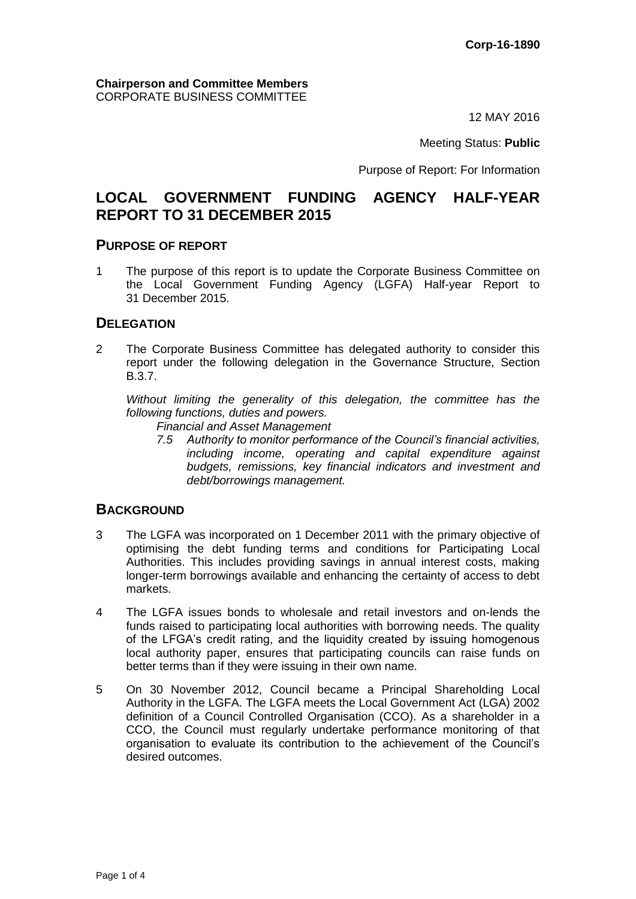12 MAY 2016

Meeting Status: **Public**

Purpose of Report: For Information

# **LOCAL GOVERNMENT FUNDING AGENCY HALF-YEAR REPORT TO 31 DECEMBER 2015**

#### **PURPOSE OF REPORT**

1 The purpose of this report is to update the Corporate Business Committee on the Local Government Funding Agency (LGFA) Half-year Report to 31 December 2015.

### **DELEGATION**

2 The Corporate Business Committee has delegated authority to consider this report under the following delegation in the Governance Structure, Section B.3.7.

*Without limiting the generality of this delegation, the committee has the following functions, duties and powers.*

- *Financial and Asset Management*
- *7.5 Authority to monitor performance of the Council's financial activities, including income, operating and capital expenditure against budgets, remissions, key financial indicators and investment and debt/borrowings management.*

#### **BACKGROUND**

- 3 The LGFA was incorporated on 1 December 2011 with the primary objective of optimising the debt funding terms and conditions for Participating Local Authorities. This includes providing savings in annual interest costs, making longer-term borrowings available and enhancing the certainty of access to debt markets.
- 4 The LGFA issues bonds to wholesale and retail investors and on-lends the funds raised to participating local authorities with borrowing needs. The quality of the LFGA's credit rating, and the liquidity created by issuing homogenous local authority paper, ensures that participating councils can raise funds on better terms than if they were issuing in their own name.
- 5 On 30 November 2012, Council became a Principal Shareholding Local Authority in the LGFA. The LGFA meets the Local Government Act (LGA) 2002 definition of a Council Controlled Organisation (CCO). As a shareholder in a CCO, the Council must regularly undertake performance monitoring of that organisation to evaluate its contribution to the achievement of the Council's desired outcomes.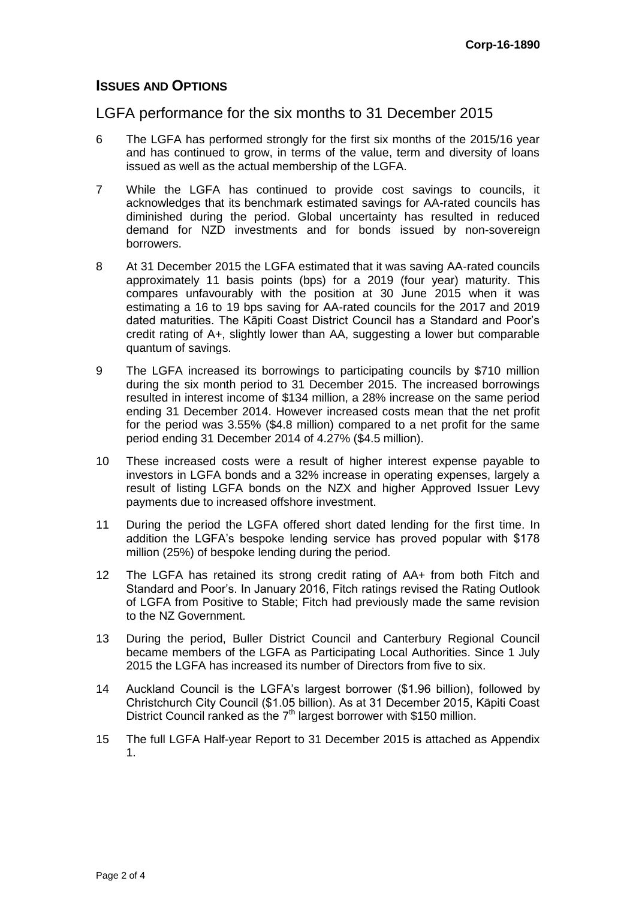## **ISSUES AND OPTIONS**

## LGFA performance for the six months to 31 December 2015

- 6 The LGFA has performed strongly for the first six months of the 2015/16 year and has continued to grow, in terms of the value, term and diversity of loans issued as well as the actual membership of the LGFA.
- 7 While the LGFA has continued to provide cost savings to councils, it acknowledges that its benchmark estimated savings for AA-rated councils has diminished during the period. Global uncertainty has resulted in reduced demand for NZD investments and for bonds issued by non-sovereign borrowers.
- 8 At 31 December 2015 the LGFA estimated that it was saving AA-rated councils approximately 11 basis points (bps) for a 2019 (four year) maturity. This compares unfavourably with the position at 30 June 2015 when it was estimating a 16 to 19 bps saving for AA-rated councils for the 2017 and 2019 dated maturities. The Kāpiti Coast District Council has a Standard and Poor's credit rating of A+, slightly lower than AA, suggesting a lower but comparable quantum of savings.
- 9 The LGFA increased its borrowings to participating councils by \$710 million during the six month period to 31 December 2015. The increased borrowings resulted in interest income of \$134 million, a 28% increase on the same period ending 31 December 2014. However increased costs mean that the net profit for the period was 3.55% (\$4.8 million) compared to a net profit for the same period ending 31 December 2014 of 4.27% (\$4.5 million).
- 10 These increased costs were a result of higher interest expense payable to investors in LGFA bonds and a 32% increase in operating expenses, largely a result of listing LGFA bonds on the NZX and higher Approved Issuer Levy payments due to increased offshore investment.
- 11 During the period the LGFA offered short dated lending for the first time. In addition the LGFA's bespoke lending service has proved popular with \$178 million (25%) of bespoke lending during the period.
- 12 The LGFA has retained its strong credit rating of AA+ from both Fitch and Standard and Poor's. In January 2016, Fitch ratings revised the Rating Outlook of LGFA from Positive to Stable; Fitch had previously made the same revision to the NZ Government.
- 13 During the period, Buller District Council and Canterbury Regional Council became members of the LGFA as Participating Local Authorities. Since 1 July 2015 the LGFA has increased its number of Directors from five to six.
- 14 Auckland Council is the LGFA's largest borrower (\$1.96 billion), followed by Christchurch City Council (\$1.05 billion). As at 31 December 2015, Kāpiti Coast District Council ranked as the  $7<sup>th</sup>$  largest borrower with \$150 million.
- 15 The full LGFA Half-year Report to 31 December 2015 is attached as Appendix 1.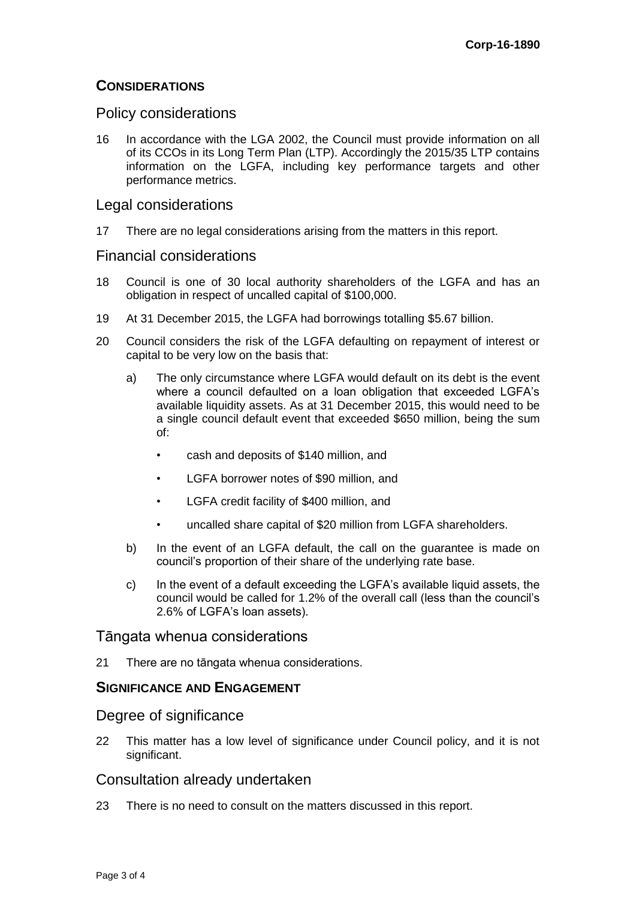## **CONSIDERATIONS**

### Policy considerations

16 In accordance with the LGA 2002, the Council must provide information on all of its CCOs in its Long Term Plan (LTP). Accordingly the 2015/35 LTP contains information on the LGFA, including key performance targets and other performance metrics.

#### Legal considerations

17 There are no legal considerations arising from the matters in this report.

#### Financial considerations

- 18 Council is one of 30 local authority shareholders of the LGFA and has an obligation in respect of uncalled capital of \$100,000.
- 19 At 31 December 2015, the LGFA had borrowings totalling \$5.67 billion.
- 20 Council considers the risk of the LGFA defaulting on repayment of interest or capital to be very low on the basis that:
	- a) The only circumstance where LGFA would default on its debt is the event where a council defaulted on a loan obligation that exceeded LGFA's available liquidity assets. As at 31 December 2015, this would need to be a single council default event that exceeded \$650 million, being the sum of:
		- cash and deposits of \$140 million, and
		- LGFA borrower notes of \$90 million, and
		- LGFA credit facility of \$400 million, and
		- uncalled share capital of \$20 million from LGFA shareholders.
	- b) In the event of an LGFA default, the call on the guarantee is made on council's proportion of their share of the underlying rate base.
	- c) In the event of a default exceeding the LGFA's available liquid assets, the council would be called for 1.2% of the overall call (less than the council's 2.6% of LGFA's loan assets).

#### Tāngata whenua considerations

21 There are no tāngata whenua considerations.

#### **SIGNIFICANCE AND ENGAGEMENT**

#### Degree of significance

22 This matter has a low level of significance under Council policy, and it is not significant.

### Consultation already undertaken

23 There is no need to consult on the matters discussed in this report.